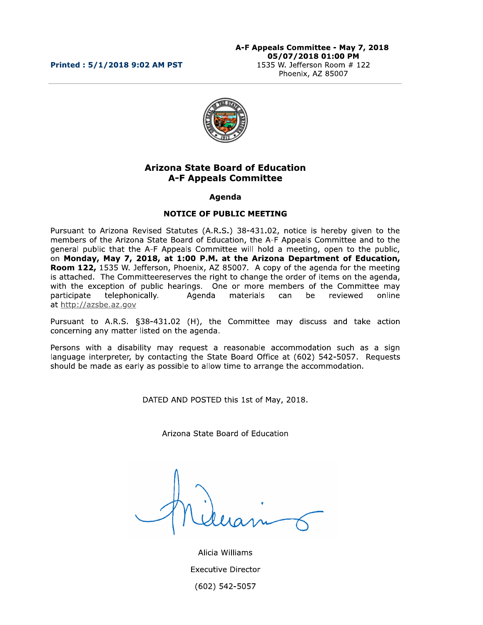#### Printed: 5/1/2018 9:02 AM PST



# **Arizona State Board of Education A-F Appeals Committee**

#### Agenda

### **NOTICE OF PUBLIC MEETING**

Pursuant to Arizona Revised Statutes (A.R.S.) 38-431.02, notice is hereby given to the members of the Arizona State Board of Education, the A-F Appeals Committee and to the general public that the A-F Appeals Committee will hold a meeting, open to the public, on Monday, May 7, 2018, at 1:00 P.M. at the Arizona Department of Education, Room 122, 1535 W. Jefferson, Phoenix, AZ 85007. A copy of the agenda for the meeting is attached. The Committeereserves the right to change the order of items on the agenda, with the exception of public hearings. One or more members of the Committee may Agenda participate telephonically. materials can be reviewed online at http://azsbe.az.gov

Pursuant to A.R.S. §38-431.02 (H), the Committee may discuss and take action concerning any matter listed on the agenda.

Persons with a disability may request a reasonable accommodation such as a sign language interpreter, by contacting the State Board Office at (602) 542-5057. Requests should be made as early as possible to allow time to arrange the accommodation.

DATED AND POSTED this 1st of May, 2018.

Arizona State Board of Education

Alicia Williams **Executive Director** (602) 542-5057